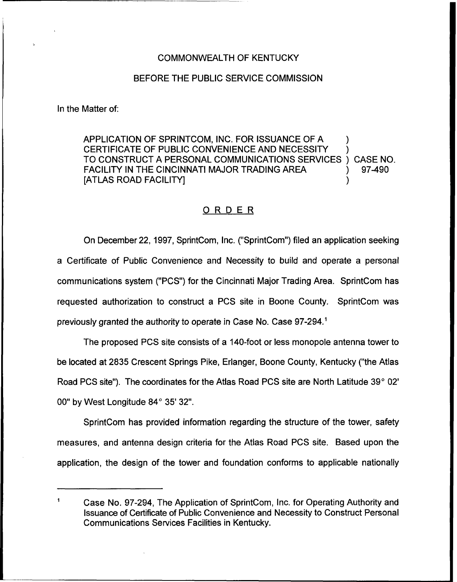## COMMONWEALTH OF KENTUCKY

## BEFORE THE PUBLIC SERVICE COMMISSION

In the Matter of:

APPLICATION OF SPRINTCOM, INC. FOR ISSUANCE OF A ) CERTIFICATE OF PUBLIC CONVENIENCE AND NECESSITY TO CONSTRUCT A PERSONAL COMMUNICATIONS SERVICES ) CASE NO.<br>FACILITY IN THE CINCINNATI MAJOR TRADING AREA  $\qquad \qquad$  97-490 FACILITY IN THE CINCINNATI MAJOR TRADING AREA [ATLAS ROAD FACILITY] )

## ORDER

On December 22, 1997, SprintCom, Inc. ("SprintCom") filed an application seeking a Certificate of Public Convenience and Necessity to build and operate a personal communications system ("PCS") for the Cincinnati Major Trading Area. SprintCom has requested authorization to construct a PCS site in Boone County. SprintCom was previously granted the authority to operate in Case No. Case

The proposed PCS site consists of a 140-foot or less monopole antenna tower to be located at 2835 Crescent Springs Pike, Erlanger, Boone County, Kentucky ("the Atlas Road PCS site"). The coordinates for the Atlas Road PCS site are North Latitude 39° 02' 00" by West Longitude 84°35'32".

SprintCom has provided information regarding the structure of the tower, safety measures, and antenna design criteria for the Atlas Road PCS site. Based upon the application, the design of the tower and foundation conforms to applicable nationally

Case No. 97-294, The Application of SprintCom, Inc. for Operating Authority and Issuance of Certificate of Public Convenience and Necessity to Construct Personal Communications Services Facilities in Kentucky.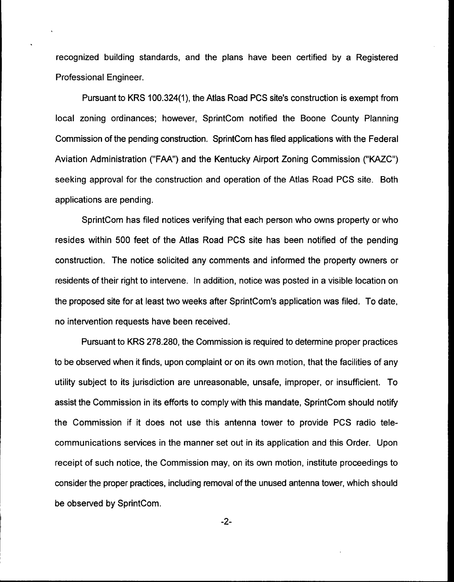recognized building standards, and the plans have been certified by a Registered Professional Engineer.

Pursuant to KRS 100.324(1), the Atlas Road PCS site's construction is exempt from local zoning ordinances; however, SprintCom notified the Boone County Planning Commission of the pending construction. SprintCom has filed applications with the Federal Aviation Administration ("FAA") and the Kentucky Airport Zoning Commission ("KAZC") seeking approval for the construction and operation of the Atlas Road PCS site. Both applications are pending.

SprintCom has filed notices verifying that each person who owns property or who resides within 500 feet of the Atlas Road PCS site has been notified of the pending construction. The notice solicited any comments and informed the property owners or residents of their right to intervene. In addition, notice was posted in a visible location on the proposed site for at least two weeks after SprintCom's application was filed. To date, no intervention requests have been received.

Pursuant to KRS 278.280, the Commission is required to determine proper practices to be observed when it finds, upon complaint or on its own motion, that the facilities of any utility subject to its jurisdiction are unreasonable, unsafe, improper, or insufficient. To assist the Commission in its efforts to comply with this mandate, SprintCom should notify the Commission if it does not use this antenna tower to provide PCS radio telecommunications services in the manner set out in its application and this Order. Upon receipt of such notice, the Commission may, on its own motion, institute proceedings to consider the proper practices, including removal of the unused antenna tower, which should be observed by SprintCom.

 $-2-$